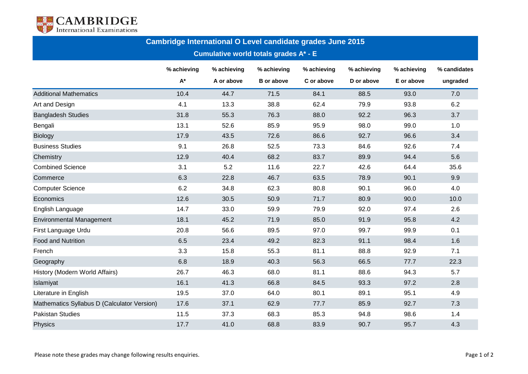

| Cambridge International O Level candidate grades June 2015 |                    |             |                   |             |             |             |              |  |  |  |  |  |
|------------------------------------------------------------|--------------------|-------------|-------------------|-------------|-------------|-------------|--------------|--|--|--|--|--|
| <b>Cumulative world totals grades A* - E</b>               |                    |             |                   |             |             |             |              |  |  |  |  |  |
|                                                            | % achieving        | % achieving | % achieving       | % achieving | % achieving | % achieving | % candidates |  |  |  |  |  |
|                                                            | $\mathsf{A}^\star$ | A or above  | <b>B</b> or above | C or above  | D or above  | E or above  | ungraded     |  |  |  |  |  |
| <b>Additional Mathematics</b>                              | 10.4               | 44.7        | 71.5              | 84.1        | 88.5        | 93.0        | 7.0          |  |  |  |  |  |
| Art and Design                                             | 4.1                | 13.3        | 38.8              | 62.4        | 79.9        | 93.8        | 6.2          |  |  |  |  |  |
| <b>Bangladesh Studies</b>                                  | 31.8               | 55.3        | 76.3              | 88.0        | 92.2        | 96.3        | 3.7          |  |  |  |  |  |
| Bengali                                                    | 13.1               | 52.6        | 85.9              | 95.9        | 98.0        | 99.0        | 1.0          |  |  |  |  |  |
| <b>Biology</b>                                             | 17.9               | 43.5        | 72.6              | 86.6        | 92.7        | 96.6        | 3.4          |  |  |  |  |  |
| <b>Business Studies</b>                                    | 9.1                | 26.8        | 52.5              | 73.3        | 84.6        | 92.6        | 7.4          |  |  |  |  |  |
| Chemistry                                                  | 12.9               | 40.4        | 68.2              | 83.7        | 89.9        | 94.4        | 5.6          |  |  |  |  |  |
| <b>Combined Science</b>                                    | 3.1                | 5.2         | 11.6              | 22.7        | 42.6        | 64.4        | 35.6         |  |  |  |  |  |
| Commerce                                                   | 6.3                | 22.8        | 46.7              | 63.5        | 78.9        | 90.1        | 9.9          |  |  |  |  |  |
| <b>Computer Science</b>                                    | 6.2                | 34.8        | 62.3              | 80.8        | 90.1        | 96.0        | 4.0          |  |  |  |  |  |
| Economics                                                  | 12.6               | 30.5        | 50.9              | 71.7        | 80.9        | 90.0        | 10.0         |  |  |  |  |  |
| English Language                                           | 14.7               | 33.0        | 59.9              | 79.9        | 92.0        | 97.4        | 2.6          |  |  |  |  |  |
| <b>Environmental Management</b>                            | 18.1               | 45.2        | 71.9              | 85.0        | 91.9        | 95.8        | 4.2          |  |  |  |  |  |
| First Language Urdu                                        | 20.8               | 56.6        | 89.5              | 97.0        | 99.7        | 99.9        | 0.1          |  |  |  |  |  |
| <b>Food and Nutrition</b>                                  | 6.5                | 23.4        | 49.2              | 82.3        | 91.1        | 98.4        | 1.6          |  |  |  |  |  |
| French                                                     | 3.3                | 15.8        | 55.3              | 81.1        | 88.8        | 92.9        | 7.1          |  |  |  |  |  |
| Geography                                                  | 6.8                | 18.9        | 40.3              | 56.3        | 66.5        | 77.7        | 22.3         |  |  |  |  |  |
| History (Modern World Affairs)                             | 26.7               | 46.3        | 68.0              | 81.1        | 88.6        | 94.3        | 5.7          |  |  |  |  |  |
| Islamiyat                                                  | 16.1               | 41.3        | 66.8              | 84.5        | 93.3        | 97.2        | 2.8          |  |  |  |  |  |
| Literature in English                                      | 19.5               | 37.0        | 64.0              | 80.1        | 89.1        | 95.1        | 4.9          |  |  |  |  |  |
| Mathematics Syllabus D (Calculator Version)                | 17.6               | 37.1        | 62.9              | 77.7        | 85.9        | 92.7        | 7.3          |  |  |  |  |  |
| <b>Pakistan Studies</b>                                    | 11.5               | 37.3        | 68.3              | 85.3        | 94.8        | 98.6        | 1.4          |  |  |  |  |  |
| Physics                                                    | 17.7               | 41.0        | 68.8              | 83.9        | 90.7        | 95.7        | 4.3          |  |  |  |  |  |